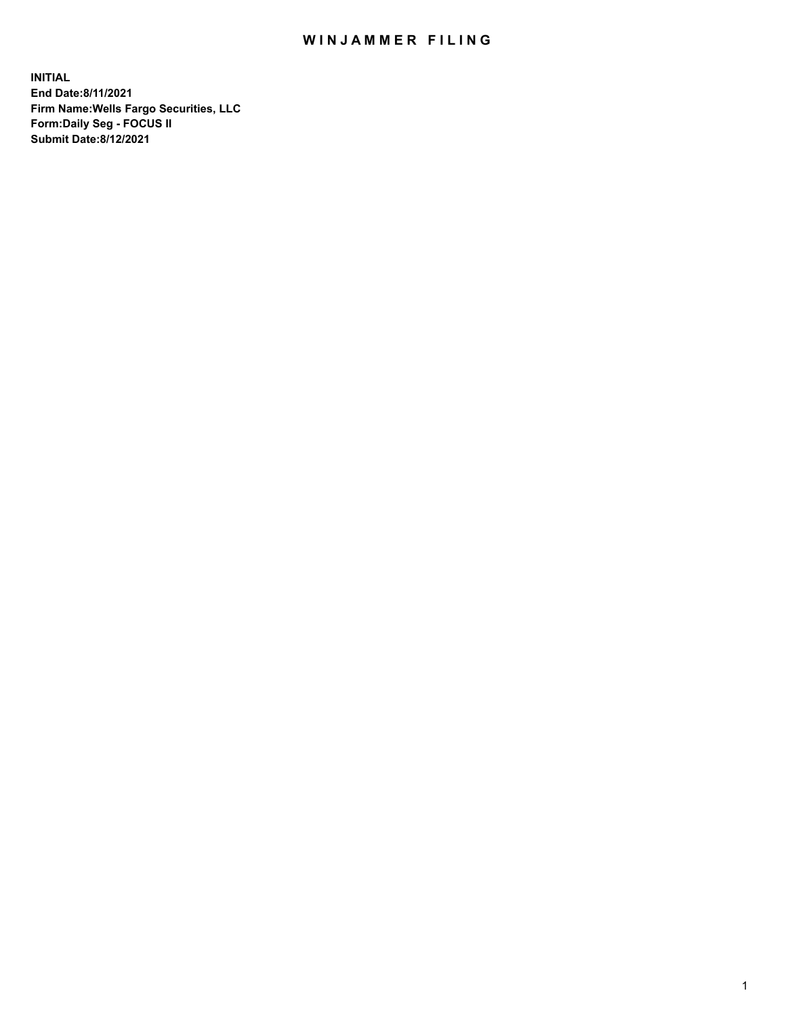## WIN JAMMER FILING

**INITIAL End Date:8/11/2021 Firm Name:Wells Fargo Securities, LLC Form:Daily Seg - FOCUS II Submit Date:8/12/2021**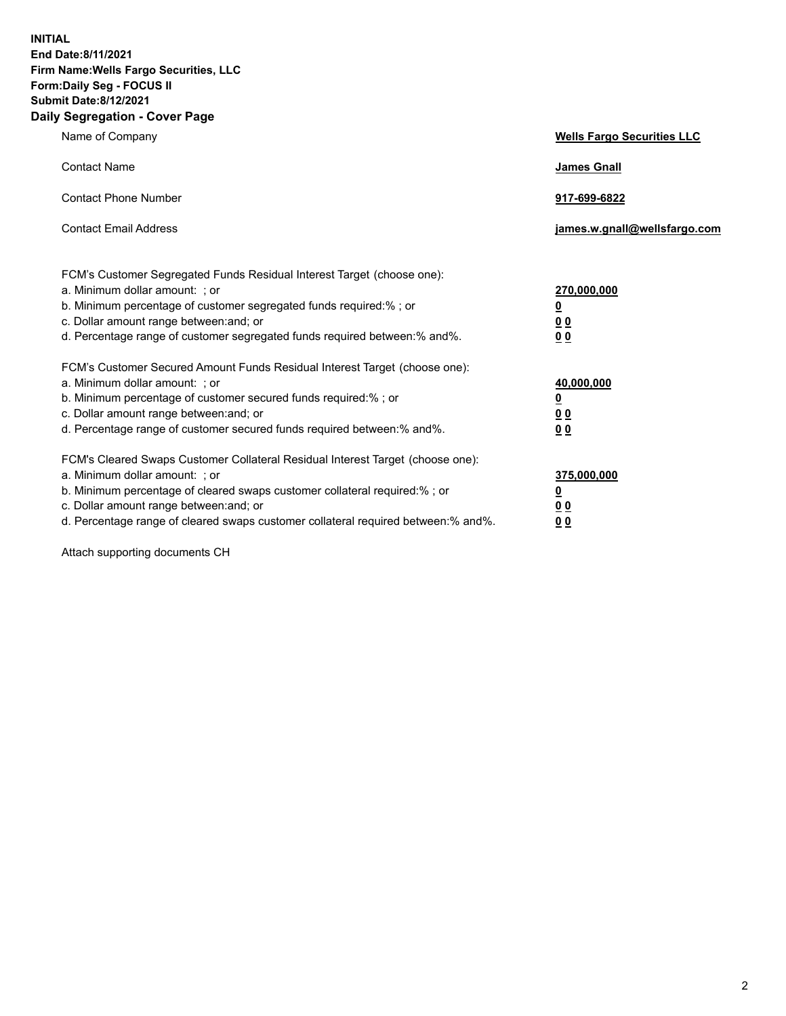**INITIAL End Date:8/11/2021 Firm Name:Wells Fargo Securities, LLC Form:Daily Seg - FOCUS II Submit Date:8/12/2021 Daily Segregation - Cover Page**

| Name of Company                                                                                                                                                                                                                                                                                                                | <b>Wells Fargo Securities LLC</b>                          |
|--------------------------------------------------------------------------------------------------------------------------------------------------------------------------------------------------------------------------------------------------------------------------------------------------------------------------------|------------------------------------------------------------|
| <b>Contact Name</b>                                                                                                                                                                                                                                                                                                            | <b>James Gnall</b>                                         |
| <b>Contact Phone Number</b>                                                                                                                                                                                                                                                                                                    | 917-699-6822                                               |
| <b>Contact Email Address</b>                                                                                                                                                                                                                                                                                                   | james.w.gnall@wellsfargo.com                               |
| FCM's Customer Segregated Funds Residual Interest Target (choose one):<br>a. Minimum dollar amount: ; or<br>b. Minimum percentage of customer segregated funds required:% ; or<br>c. Dollar amount range between: and; or<br>d. Percentage range of customer segregated funds required between:% and%.                         | 270,000,000<br><u>0</u><br><u>00</u><br>0 <sub>0</sub>     |
| FCM's Customer Secured Amount Funds Residual Interest Target (choose one):<br>a. Minimum dollar amount: ; or<br>b. Minimum percentage of customer secured funds required:% ; or<br>c. Dollar amount range between: and; or<br>d. Percentage range of customer secured funds required between: % and %.                         | 40,000,000<br><u>0</u><br>0 <sub>0</sub><br>0 <sub>0</sub> |
| FCM's Cleared Swaps Customer Collateral Residual Interest Target (choose one):<br>a. Minimum dollar amount: ; or<br>b. Minimum percentage of cleared swaps customer collateral required:% ; or<br>c. Dollar amount range between: and; or<br>d. Percentage range of cleared swaps customer collateral required between:% and%. | 375,000,000<br><u>0</u><br>0 Q<br><u>00</u>                |

Attach supporting documents CH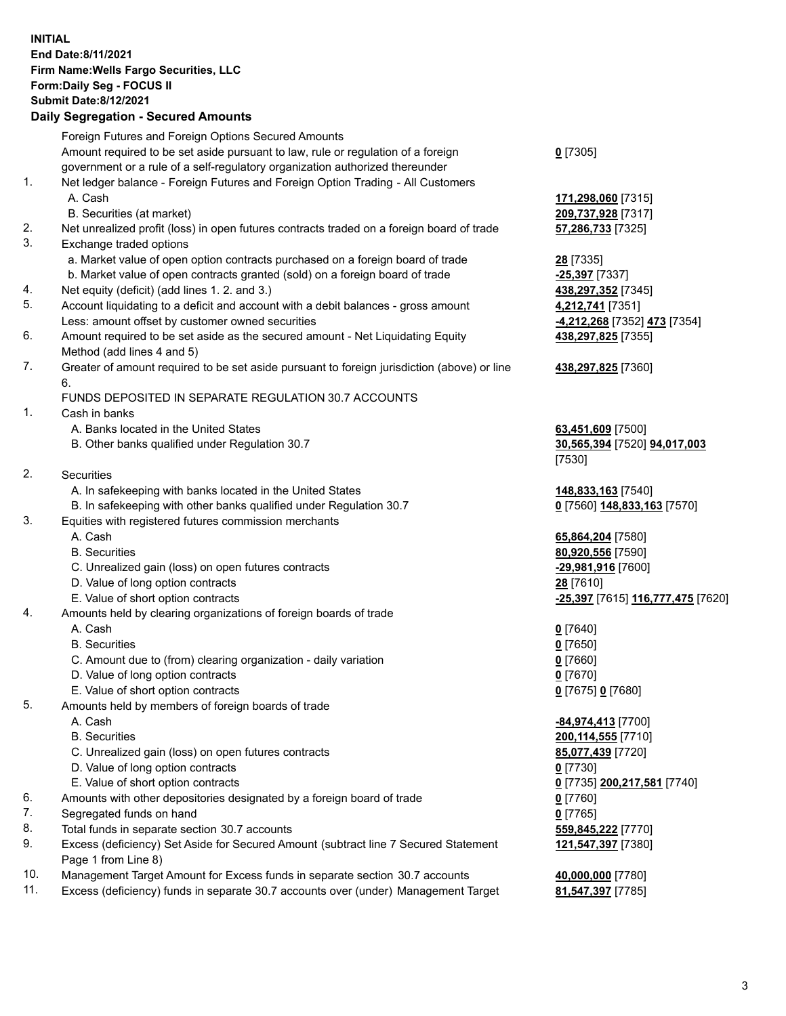**INITIAL End Date:8/11/2021 Firm Name:Wells Fargo Securities, LLC Form:Daily Seg - FOCUS II Submit Date:8/12/2021 Daily Segregation - Secured Amounts**

Foreign Futures and Foreign Options Secured Amounts Amount required to be set aside pursuant to law, rule or regulation of a foreign government or a rule of a self-regulatory organization authorized thereunder **0** [7305] 1. Net ledger balance - Foreign Futures and Foreign Option Trading - All Customers A. Cash **171,298,060** [7315] B. Securities (at market) **209,737,928** [7317] 2. Net unrealized profit (loss) in open futures contracts traded on a foreign board of trade **57,286,733** [7325] 3. Exchange traded options a. Market value of open option contracts purchased on a foreign board of trade **28** [7335] b. Market value of open contracts granted (sold) on a foreign board of trade **-25,397** [7337] 4. Net equity (deficit) (add lines 1. 2. and 3.) **438,297,352** [7345] 5. Account liquidating to a deficit and account with a debit balances - gross amount **4,212,741** [7351] Less: amount offset by customer owned securities **-4,212,268** [7352] **473** [7354] 6. Amount required to be set aside as the secured amount - Net Liquidating Equity Method (add lines 4 and 5) 7. Greater of amount required to be set aside pursuant to foreign jurisdiction (above) or line 6. FUNDS DEPOSITED IN SEPARATE REGULATION 30.7 ACCOUNTS 1. Cash in banks A. Banks located in the United States **63,451,609** [7500] B. Other banks qualified under Regulation 30.7 **30,565,394** [7520] **94,017,003** [7530] 2. Securities A. In safekeeping with banks located in the United States **148,833,163** [7540] B. In safekeeping with other banks qualified under Regulation 30.7 **0** [7560] **148,833,163** [7570] 3. Equities with registered futures commission merchants A. Cash **65,864,204** [7580] B. Securities **80,920,556** [7590] C. Unrealized gain (loss) on open futures contracts **-29,981,916** [7600] D. Value of long option contracts **28** [7610] E. Value of short option contracts **-25,397** [7615] **116,777,475** [7620] 4. Amounts held by clearing organizations of foreign boards of trade A. Cash **0** [7640] B. Securities **0** [7650] C. Amount due to (from) clearing organization - daily variation **0** [7660] D. Value of long option contracts **0** [7670]

- E. Value of short option contracts **0** [7675] **0** [7680]
- 5. Amounts held by members of foreign boards of trade
	-
	-
	- C. Unrealized gain (loss) on open futures contracts **85,077,439** [7720]
	- D. Value of long option contracts **0** [7730]
	-
- 6. Amounts with other depositories designated by a foreign board of trade **0** [7760]
- 7. Segregated funds on hand **0** [7765]
- 8. Total funds in separate section 30.7 accounts **559,845,222** [7770]
- 9. Excess (deficiency) Set Aside for Secured Amount (subtract line 7 Secured Statement Page 1 from Line 8)
- 10. Management Target Amount for Excess funds in separate section 30.7 accounts **40,000,000** [7780]
- 11. Excess (deficiency) funds in separate 30.7 accounts over (under) Management Target **81,547,397** [7785]

**438,297,825** [7355]

**438,297,825** [7360]

 A. Cash **-84,974,413** [7700] B. Securities **200,114,555** [7710] E. Value of short option contracts **0** [7735] **200,217,581** [7740] **121,547,397** [7380]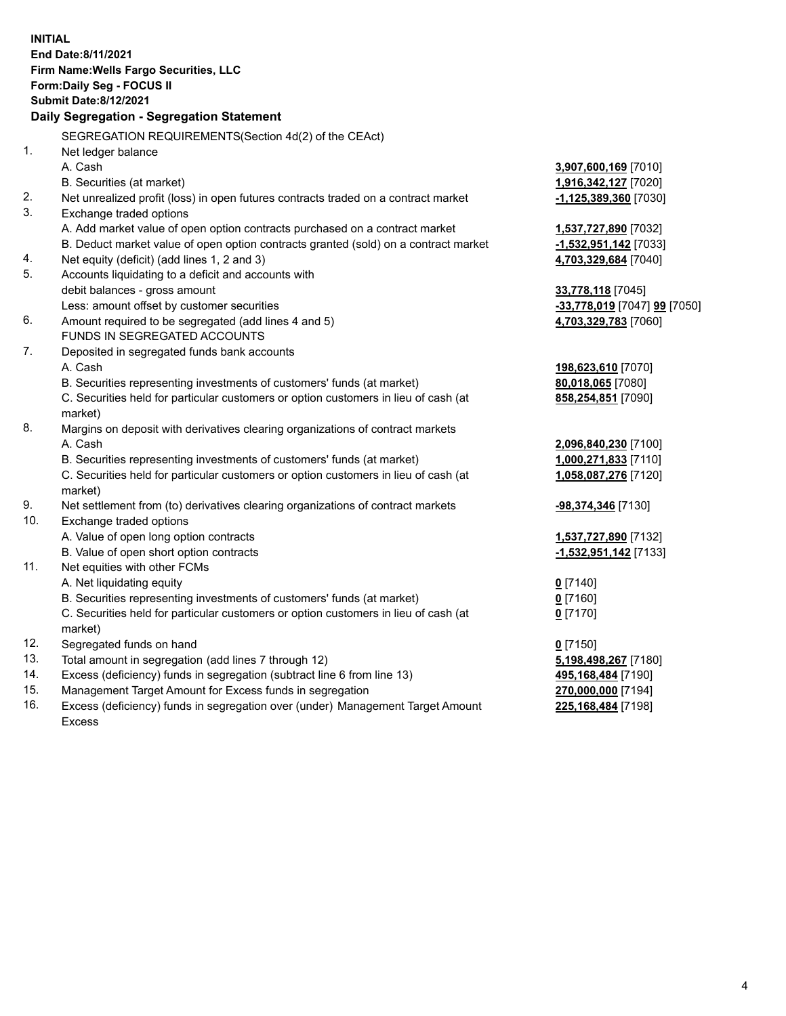**INITIAL End Date:8/11/2021 Firm Name:Wells Fargo Securities, LLC Form:Daily Seg - FOCUS II Submit Date:8/12/2021 Daily Segregation - Segregation Statement** SEGREGATION REQUIREMENTS(Section 4d(2) of the CEAct) 1. Net ledger balance A. Cash **3,907,600,169** [7010] B. Securities (at market) **1,916,342,127** [7020] 2. Net unrealized profit (loss) in open futures contracts traded on a contract market **-1,125,389,360** [7030] 3. Exchange traded options A. Add market value of open option contracts purchased on a contract market **1,537,727,890** [7032] B. Deduct market value of open option contracts granted (sold) on a contract market **-1,532,951,142** [7033] 4. Net equity (deficit) (add lines 1, 2 and 3) **4,703,329,684** [7040] 5. Accounts liquidating to a deficit and accounts with debit balances - gross amount **33,778,118** [7045] Less: amount offset by customer securities **-33,778,019** [7047] **99** [7050] 6. Amount required to be segregated (add lines 4 and 5) **4,703,329,783** [7060] FUNDS IN SEGREGATED ACCOUNTS 7. Deposited in segregated funds bank accounts A. Cash **198,623,610** [7070] B. Securities representing investments of customers' funds (at market) **80,018,065** [7080] C. Securities held for particular customers or option customers in lieu of cash (at market) **858,254,851** [7090] 8. Margins on deposit with derivatives clearing organizations of contract markets A. Cash **2,096,840,230** [7100] B. Securities representing investments of customers' funds (at market) **1,000,271,833** [7110] C. Securities held for particular customers or option customers in lieu of cash (at market) **1,058,087,276** [7120] 9. Net settlement from (to) derivatives clearing organizations of contract markets **-98,374,346** [7130] 10. Exchange traded options A. Value of open long option contracts **1,537,727,890** [7132] B. Value of open short option contracts **-1,532,951,142** [7133] 11. Net equities with other FCMs A. Net liquidating equity **0** [7140] B. Securities representing investments of customers' funds (at market) **0** [7160] C. Securities held for particular customers or option customers in lieu of cash (at market) **0** [7170] 12. Segregated funds on hand **0** [7150] 13. Total amount in segregation (add lines 7 through 12) **5,198,498,267** [7180] 14. Excess (deficiency) funds in segregation (subtract line 6 from line 13) **495,168,484** [7190] 15. Management Target Amount for Excess funds in segregation **270,000,000** [7194] 16. Excess (deficiency) funds in segregation over (under) Management Target Amount **225,168,484** [7198]

Excess